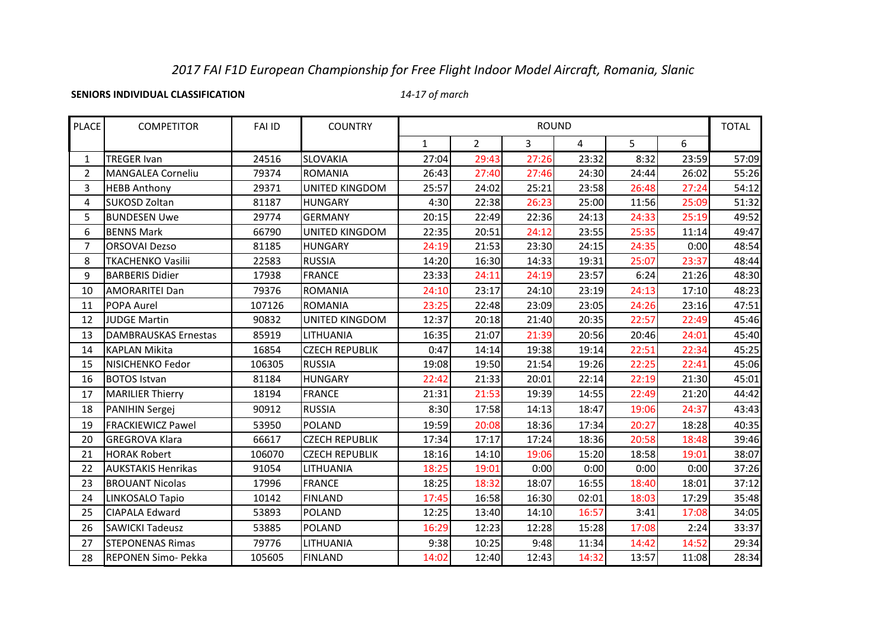# *2017 FAI F1D European Championship for Free Flight Indoor Model Aircraft, Romania, Slanic*

**SENIORS INDIVIDUAL CLASSIFICATION**

*14-17 of march*

| <b>PLACE</b>   | <b>COMPETITOR</b>           | <b>FAI ID</b> | <b>COUNTRY</b>        | <b>ROUND</b> |                |                | <b>TOTAL</b>   |       |       |       |
|----------------|-----------------------------|---------------|-----------------------|--------------|----------------|----------------|----------------|-------|-------|-------|
|                |                             |               |                       | $\mathbf{1}$ | $\overline{2}$ | $\overline{3}$ | $\overline{4}$ | 5     | 6     |       |
| 1              | <b>TREGER Ivan</b>          | 24516         | <b>SLOVAKIA</b>       | 27:04        | 29:43          | 27:26          | 23:32          | 8:32  | 23:59 | 57:09 |
| $\overline{2}$ | <b>MANGALEA Corneliu</b>    | 79374         | <b>ROMANIA</b>        | 26:43        | 27:40          | 27:46          | 24:30          | 24:44 | 26:02 | 55:26 |
| 3              | <b>HEBB Anthony</b>         | 29371         | <b>UNITED KINGDOM</b> | 25:57        | 24:02          | 25:21          | 23:58          | 26:48 | 27:24 | 54:12 |
| 4              | <b>SUKOSD Zoltan</b>        | 81187         | <b>HUNGARY</b>        | 4:30         | 22:38          | 26:23          | 25:00          | 11:56 | 25:09 | 51:32 |
| 5              | <b>BUNDESEN Uwe</b>         | 29774         | <b>GERMANY</b>        | 20:15        | 22:49          | 22:36          | 24:13          | 24:33 | 25:19 | 49:52 |
| 6              | <b>BENNS Mark</b>           | 66790         | UNITED KINGDOM        | 22:35        | 20:51          | 24:12          | 23:55          | 25:35 | 11:14 | 49:47 |
| $\overline{7}$ | <b>ORSOVAI Dezso</b>        | 81185         | <b>HUNGARY</b>        | 24:19        | 21:53          | 23:30          | 24:15          | 24:35 | 0:00  | 48:54 |
| 8              | <b>TKACHENKO Vasilii</b>    | 22583         | <b>RUSSIA</b>         | 14:20        | 16:30          | 14:33          | 19:31          | 25:07 | 23:37 | 48:44 |
| 9              | <b>BARBERIS Didier</b>      | 17938         | <b>FRANCE</b>         | 23:33        | 24:11          | 24:19          | 23:57          | 6:24  | 21:26 | 48:30 |
| 10             | <b>AMORARITEI Dan</b>       | 79376         | <b>ROMANIA</b>        | 24:10        | 23:17          | 24:10          | 23:19          | 24:13 | 17:10 | 48:23 |
| 11             | POPA Aurel                  | 107126        | <b>ROMANIA</b>        | 23:25        | 22:48          | 23:09          | 23:05          | 24:26 | 23:16 | 47:51 |
| 12             | <b>JUDGE Martin</b>         | 90832         | <b>UNITED KINGDOM</b> | 12:37        | 20:18          | 21:40          | 20:35          | 22:57 | 22:49 | 45:46 |
| 13             | <b>DAMBRAUSKAS Ernestas</b> | 85919         | LITHUANIA             | 16:35        | 21:07          | 21:39          | 20:56          | 20:46 | 24:01 | 45:40 |
| 14             | <b>KAPLAN Mikita</b>        | 16854         | <b>CZECH REPUBLIK</b> | 0:47         | 14:14          | 19:38          | 19:14          | 22:51 | 22:34 | 45:25 |
| 15             | NISICHENKO Fedor            | 106305        | <b>RUSSIA</b>         | 19:08        | 19:50          | 21:54          | 19:26          | 22:25 | 22:41 | 45:06 |
| 16             | <b>BOTOS Istvan</b>         | 81184         | <b>HUNGARY</b>        | 22:42        | 21:33          | 20:01          | 22:14          | 22:19 | 21:30 | 45:01 |
| 17             | <b>MARILIER Thierry</b>     | 18194         | <b>FRANCE</b>         | 21:31        | 21:53          | 19:39          | 14:55          | 22:49 | 21:20 | 44:42 |
| 18             | <b>PANIHIN Sergej</b>       | 90912         | <b>RUSSIA</b>         | 8:30         | 17:58          | 14:13          | 18:47          | 19:06 | 24:37 | 43:43 |
| 19             | <b>FRACKIEWICZ Pawel</b>    | 53950         | <b>POLAND</b>         | 19:59        | 20:08          | 18:36          | 17:34          | 20:27 | 18:28 | 40:35 |
| 20             | <b>GREGROVA Klara</b>       | 66617         | <b>CZECH REPUBLIK</b> | 17:34        | 17:17          | 17:24          | 18:36          | 20:58 | 18:48 | 39:46 |
| 21             | <b>HORAK Robert</b>         | 106070        | <b>CZECH REPUBLIK</b> | 18:16        | 14:10          | 19:06          | 15:20          | 18:58 | 19:01 | 38:07 |
| 22             | <b>AUKSTAKIS Henrikas</b>   | 91054         | LITHUANIA             | 18:25        | 19:01          | 0:00           | 0:00           | 0:00  | 0:00  | 37:26 |
| 23             | <b>BROUANT Nicolas</b>      | 17996         | <b>FRANCE</b>         | 18:25        | 18:32          | 18:07          | 16:55          | 18:40 | 18:01 | 37:12 |
| 24             | LINKOSALO Tapio             | 10142         | <b>FINLAND</b>        | 17:45        | 16:58          | 16:30          | 02:01          | 18:03 | 17:29 | 35:48 |
| 25             | <b>CIAPALA Edward</b>       | 53893         | <b>POLAND</b>         | 12:25        | 13:40          | 14:10          | 16:57          | 3:41  | 17:08 | 34:05 |
| 26             | <b>SAWICKI Tadeusz</b>      | 53885         | <b>POLAND</b>         | 16:29        | 12:23          | 12:28          | 15:28          | 17:08 | 2:24  | 33:37 |
| 27             | <b>STEPONENAS Rimas</b>     | 79776         | LITHUANIA             | 9:38         | 10:25          | 9:48           | 11:34          | 14:42 | 14:52 | 29:34 |
| 28             | REPONEN Simo- Pekka         | 105605        | <b>FINLAND</b>        | 14:02        | 12:40          | 12:43          | 14:32          | 13:57 | 11:08 | 28:34 |